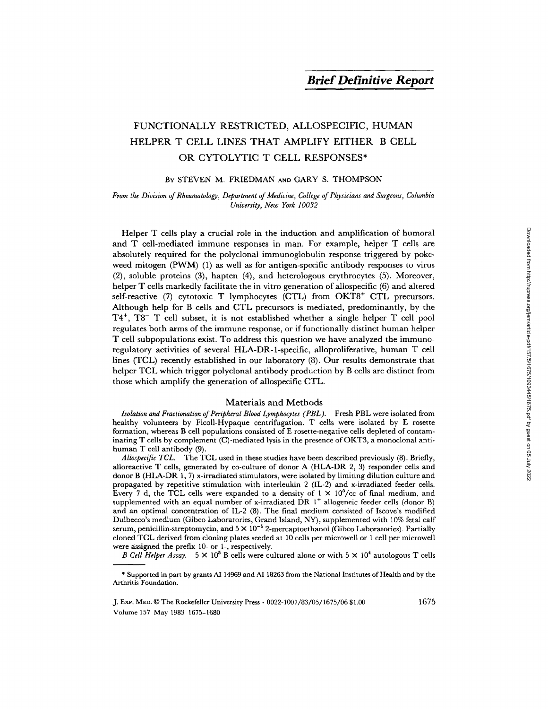# FUNCTIONALLY RESTRICTED, ALLOSPECIFIC, HUMAN HELPER T CELL LINES THAT AMPLIFY EITHER B CELL OR CYTOLYTIC T CELL RESPONSES\*

## BY STEVEN M. FRIEDMAN AND GARY S. THOMPSON

## *From the Division of Rheumatology, Department of Medicine, College of Physicians and Surgeons, Columbia University, New York 10032*

Helper T cells play a crucial role in the induction and amplification of humoral and T cell-mediated immune responses in man. For example, helper T cells are absolutely required for the polyclonal immunoglobulin response triggered by pokeweed mitogen (PWM) (1) as well as for antigen-specific antibody responses to virus (2), soluble proteins (3), hapten (4), and heterologous erythrocytes (5). Moreover, helper T cells markedly facilitate the in vitro generation of allospecific (6) and altered self-reactive  $(7)$  cytotoxic T lymphocytes  $(CTL)$  from  $OKT8<sup>+</sup> CTL$  precursors. Although help for B cells and CTL precursors is mediated, predominantly, by the  $T4^+$ ,  $T8^-$  T cell subset, it is not established whether a single helper T cell pool regulates both arms of the immune response, or if functionally distinct human helper T cell subpopulations exist. To address this question we have analyzed the immunoregulatory activities of several HLA-DR-l-specific, alloproliferative, human T cell lines (TCL) recently established in our laboratory (8). Our results demonstrate that helper TCL which trigger polyclonal antibody production by B cells are distinct from those which amplify the generation of allospecific CTL.

#### Materials and Methods

*Isolation and Fractionation of Peripheral Blood Lymphocytes (PBL).* Fresh PBL were isolated from healthy volunteers by Ficoll-Hypaque centrifugation. T cells were isolated by E rosette formation, whereas B cell populations consisted of E rosette-negative cells depleted of contaminating T cells by complement (C)-mediated lysis in the presence of OKT3, a monoclonal antihuman T cell antibody (9).

Allospecific TCL. The TCL used in these studies have been described previously (8). Briefly, alloreactive T cells, generated by co-culture of donor A (HLA-DR 2, 3) responder cells and donor B (HLA-DR 1, 7) x-irradiated stimulators, were isolated by limiting dilution culture and propagated by repetitive stimulation with interleukin 2 (IL-2) and x-irradiated feeder cells. Every 7 d, the TCL cells were expanded to a density of  $1 \times 10^{5}/c$  of final medium, and supplemented with an equal number of x-irradiated DR  $1^+$  allogeneic feeder cells (donor B) and an optimal concentration of IL-2 (8). The final medium consisted of Iscove's modified Dulbecco's medium (Gibco Laboratories, Grand Island, NY), supplemented with 10% fetal calf serum, penicillin-streptomycin, and  $5 \times 10^{-5}$  2-mercaptoethanol (Gibco Laboratories). Partially cloned TCL derived from cloning plates seeded at 10 cells per microwell or 1 cell per microwell were assigned the prefix 10- or 1-, respectively.

*B Cell Helper Assay.*  $5 \times 10^5$  B cells were cultured alone or with  $5 \times 10^4$  autologous T cells

1675

<sup>\*</sup> Supported in part by grants AI 14969 and AI 18263 from the National Institutes of Health and by the Arthritis Foundation.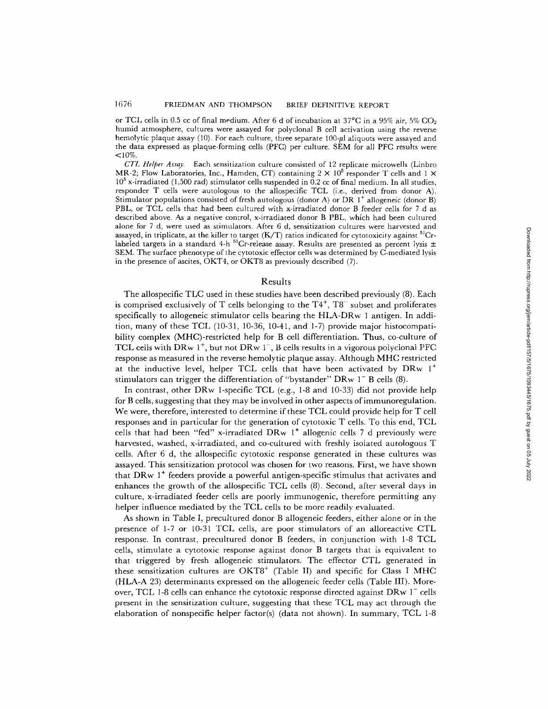or TCL cells in 0.5 cc of final medium. After 6 d of incubation at 37 $^{\circ}$ C in a 95% air, 5% CO<sub>2</sub> humid atmosphere, cultures were assayed for polyclonal B cell activation using the reverse hemolytic plaque assay (10). For each culture, three separate 100-µl aliquots were assayed and the data expressed as plaque-forming cells (PFC) per culture. SEM for all PFC results were  $<$ 10%

*CTL Helper Assay.* Each sensitization culture consisted of 12 replicate microwells (Linbro MR-2; Flow Laboratories, Inc., Hamden, CT) containing  $2 \times 10^5$  responder T cells and  $1 \times$  $10^5$  x-irradiated (1,500 rad) stimulator cells suspended in 0.2 cc of final medium. In all studies, responder T cells were autologous to the allospecific TCL (i.e., derived from donor A). Stimulator populations consisted of fresh autologous (donor A) or DR  $1^+$  allogeneic (donor B) PBL, or TCL cells that had been cultured with x-irradiated donor B feeder cells for 7 d as described above. As a negative control, x-irradiated donor B PBL, which had been cultured alone for 7 d, were used as stimulators. After 6 d, sensitization cultures were harvested and assayed, in triplicate, at the killer to target  $(K/T)$  ratios indicated for cytotoxicity against  ${}^{51}Cr$ labeled targets in a standard 4-h  $^{51}$ Cr-release assay. Results are presented as percent lysis  $\pm$ SEM. The surface phenotype of the cytotoxic effector cells was determined by C-mediated lysis in the presence of ascites, OKT4, or OKT8 as previously described (7).

## Results

The allospecific TLC used in these studies have been described previously (8). Each is comprised exclusively of T cells belonging to the  $T4^+$ ,  $T8^-$  subset and proliferates specifically to allogeneic stimulator cells bearing the HLA-DRw 1 antigen. In addition, many of these TCL (10-31, 10-36, 10-41, and 1-7) provide major histocompatibility complex (MHC)-restricted help for B cell differentiation. Thus, co-culture of TCL cells with DRw  $1^+$ , but not DRw  $1^-$ , B cells results in a vigorous polyclonal PFC response as measured in the reverse hemolytic plaque assay. Although MHC restricted at the inductive level, helper TCL cells that have been activated by  $DRw_1^+$ stimulators can trigger the differentiation of "bystander"  $DRw 1^- B$  cells (8).

In contrast, other DRw 1-specific TCL (e.g., 1-8 and 10-33) did not provide help for B cells, suggesting that they may be involved in other aspects ofimmunoregulation. We were, therefore, interested to determine if these TCL could provide help for T cell responses and in particular for the generation of cytotoxic T cells. To this end, TCL cells that had been "fed" x-irradiated DRw  $1^+$  allogenic cells 7 d previously were harvested, washed, x-irradiated, and co-cultured with freshly isolated autologous T cells. After 6 d, the allospecific cytotoxic response generated in these cultures was assayed. This sensitization protocol was chosen for two reasons. First, we have shown that DRw  $1^+$  feeders provide a powerful antigen-specific stimulus that activates and enhances the growth of the allospecific TCL cells (8). Second, after several days in culture, x-irradiated feeder cells are poorly immunogenic, therefore permitting any helper influence mediated by the TCL cells to be more readily evaluated.

As shown in Table I, precultured donor B allogeneic feeders, either alone or in the presence of 1-7 or 10-31 TCL cells, are poor stimulators of an alloreactive CTL response. In contrast, precultured donor B feeders, in conjunction with 1-8 TCL cells, stimulate a eytotoxic response against donor B targets that is equivalent to that triggered by fresh allogeneic stimulators. The effector CTL generated in these sensitization cultures are OKT8<sup>+</sup> (Table II) and specific for Class I MHC (HLA-A 23) determinants expressed on the allogeneic feeder cells (Table III). Moreover, TCL 1-8 cells can enhance the cytotoxic response directed against  $DRw 1^-$  cells present in the sensitization culture, suggesting that these TCL may act through the elaboration of nonspecific helper factor(s) (data not shown). In summary, TCL 1-8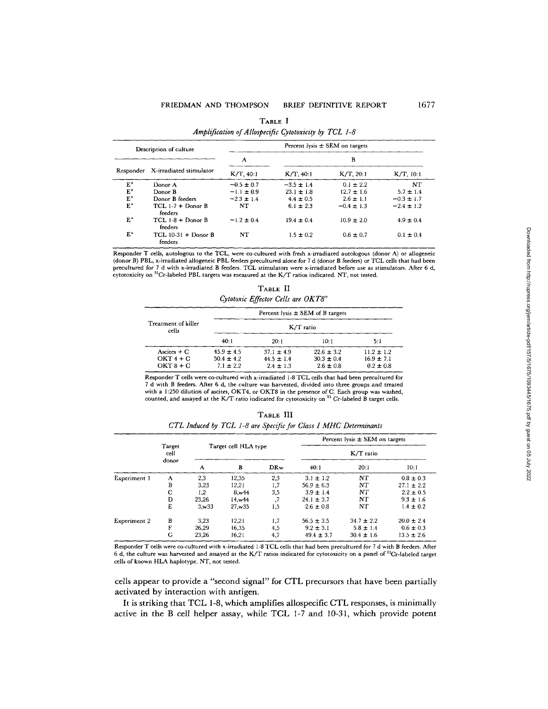| Description of culture |                                  | Percent lysis $\pm$ SEM on targets |                |                |                |  |
|------------------------|----------------------------------|------------------------------------|----------------|----------------|----------------|--|
|                        |                                  | A                                  | в              |                |                |  |
| Responder              | X-irradiated stimulator          | $K/T$ , 40:1                       | $K/T$ , 40:1   | $K/T$ , 20:1   | $K/T$ , 10:1   |  |
| $E^+$                  | Donor A                          | $-0.5 \pm 0.7$                     | $-3.5 \pm 1.4$ | $0.1 \pm 2.2$  | <b>NT</b>      |  |
| $E^+$                  | Donor B                          | $-1.1 \pm 0.9$                     | $23.1 \pm 1.8$ | $12.7 \pm 1.6$ | $5.7 \pm 1.4$  |  |
| $E^+$                  | Donor B feeders                  | $-2.3 \pm 1.4$                     | $4.4 \pm 0.5$  | $2.6 \pm 1.1$  | $-0.3 \pm 1.7$ |  |
| $E^+$                  | $TCL$ 1-7 + Donor B<br>feeders   | NT                                 | $6.1 \pm 2.3$  | $-0.4 \pm 1.3$ | $-2.4 \pm 1.2$ |  |
| $E^+$                  | $TCL$ 1-8 + Donor B<br>feeders   | $-1.2 \pm 0.4$                     | $19.4 \pm 0.4$ | $10.9 \pm 2.0$ | $4.9 \pm 0.4$  |  |
| $E^+$                  | TCL $10-31 +$ Donor B<br>feeders | NT                                 | $1.5 \pm 0.2$  | $0.6 \pm 0.7$  | $0.1 \pm 0.4$  |  |

**TABLE I**  *Amplification of Allospecific Cytotoxicity by TCL 1-8* 

Responder T cells, autologous to the TCL, were co-cultured with fresh x-irradiated autologous (donor A) or allogeneic (donor B) PBL, x-irradiated allogeneic PBL feeders precultured alone for 7 d (donor B feeders) or TCL cells that had been precultured for 7 d with x-irradiated B feeders. TCL stimulators were x-irradiated before use as stimulators. After 6 d, cytotoxicity on 51Cr-labeled PBL targets was measured at the K/T ratios indicated. NT, not tested.

| TABLE II<br>Cytotoxic Effector Cells are OKT8+ |                                      |                |                |                |  |  |
|------------------------------------------------|--------------------------------------|----------------|----------------|----------------|--|--|
|                                                | Percent lysis $\pm$ SEM of B targets |                |                |                |  |  |
| Treatment of killer<br>cells                   | K/T ratio                            |                |                |                |  |  |
|                                                | 40:1                                 | 20:1           | 10:1           | 5:1            |  |  |
| Ascites $+ C$                                  | $45.9 \pm 4.5$                       | $37.1 \pm 4.9$ | $22.6 \pm 3.2$ | $11.2 \pm 1.2$ |  |  |
| $OKT 4 + C$                                    | $50.4 \pm 4.2$                       | $44.5 \pm 1.4$ | $30.3 \pm 0.4$ | $16.9 \pm 7.1$ |  |  |
| $OKT8 + C$                                     | $7.1 \pm 2.2$                        | $2.4 \pm 1.3$  | $2.6 \pm 0.8$  | $0.2 \pm 0.8$  |  |  |

Responder T cells were co-cultured with x-irradiated 1-8 TCL cells that had been precuhured for 7 d with B feeders. After 6 d, the culture was harvested, divided into three groups and treated with a 1:250 dilution of ascites, OKT4, or OKT8 in the presence of C. Each group was washed, counted, and assayed at the K/T ratio indicated for cytotoxicity on <sup>51</sup> Cr-labeled B target cells.

| TABLE III |                                                                  |  |  |  |  |
|-----------|------------------------------------------------------------------|--|--|--|--|
|           | CTL Induced by TCL 1-8 are Specific for Class I MHC Determinants |  |  |  |  |

|              | Target<br>cell<br>donor |                      |         |             | Percent lysis $\pm$ SEM on targets |                |                |
|--------------|-------------------------|----------------------|---------|-------------|------------------------------------|----------------|----------------|
|              |                         | Target cell HLA type |         | $K/T$ ratio |                                    |                |                |
|              |                         | A                    | B       | <b>DRw</b>  | 40:1                               | 20:1           | 10:1           |
| Experiment 1 | A                       | 2,3                  | 12,35   | 2,3         | $3.1 \pm 1.2$                      | NT             | $0.8 \pm 0.3$  |
|              | B                       | 3,23                 | 12,21   | 1,7         | $56.9 \pm 6.3$                     | NT             | $27.1 \pm 2.2$ |
|              | C                       | 1,2                  | 8,w44   | 3,5         | $3.9 \pm 1.4$                      | NΤ             | $2.2 \pm 0.5$  |
|              | D                       | 23.26                | 14.w44  |             | 24.1 $\pm$ 3.7                     | NT             | $9.3 \pm 1.6$  |
|              | E                       | 3.w33                | 27. w35 | 1,5         | $2.6 \pm 0.8$                      | NT             | $1.4 \pm 0.2$  |
| Experiment 2 | B                       | 3,23                 | 12,21   | 1,7         | $56.5 \pm 3.5$                     | $34.7 \pm 2.2$ | $20.0 \pm 2.4$ |
|              | F                       | 26,29                | 16.35   | 4,5         | $9.2 \pm 3.1$                      | $5.8 \pm 1.4$  | $0.6 \pm 0.3$  |
|              | G                       | 23,26                | 16.21   | 4,7         | $49.4 \pm 3.7$                     | $30.4 \pm 1.6$ | $13.5 \pm 2.6$ |

Responder T cells were co-cultured with x-irradiated 1-8 TCL cells that had been precultured for 7 d with B feeders. After  $6$  d, the culture was harvested and assayed at the K/T ratios indicated for cytotoxicity on a panel of  $51Cr$ -labeled target cells of known HLA haplotype. NT, not tested.

cells appear to provide a "second signal" for CTL precursors that have been partially activated by interaction with antigen.

It is striking that TCL 1-8, which amplifies allospecific CTL responses, is minimally active in the B cell helper assay, while TCL 1-7 and 10-31, which provide potent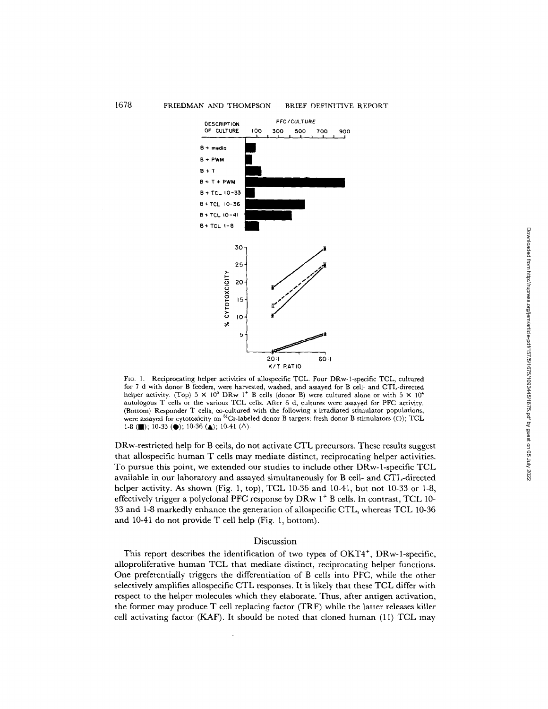

Fro. 1, Reciprocating helper activities of allospecific TCL. Four DRw-l-specific TCL, cultured for 7 d with donor B feeders, were harvested, washed, and assayed for B cell- and CTL-directed helper activity. (Top)  $5 \times 10^5$  DRw 1<sup>+</sup> B cells (donor B) were cultured alone or with  $5 \times 10^4$ autologous T ceils or the various TCL cells. After 6 d, cultures were assayed for PFC activity. (Bottom) Responder T cells, co-cultured with the following x-irradiated stimulator populations, were assayed for cytotoxicity on  ${}^{51}$ Cr-labeled donor B targets: fresh donor B stimulators (O); TCL 1-8 (**m**); 10-33 ( $\bullet$ ); 10-36 ( $\bullet$ ); 10-41 ( $\Delta$ ).

DRw-restricted help for B cells, do not activate CTL precursors. These results suggest that allospecific human T cells may mediate distinct, reciprocating helper activities. To pursue this point, we extended our studies to include other DRw-1-specific TCL available in our laboratory and assayed simultaneously for B cell- and CTL-directed helper activity. As shown (Fig. 1, top), TCL 10-36 and 10-41, but not 10-33 or 1-8, effectively trigger a polyclonal PFC response by  $DRw 1<sup>+</sup> B$  cells. In contrast, TCL 10-33 and 1-8 markedly enhance the generation of allospecific CTL, whereas TCL 10-36 and 10-41 do not provide T cell help (Fig. 1, bottom).

### Discussion

This report describes the identification of two types of  $OKT4^+$ ,  $DRw-1$ -specific, alloproliferative human TCL that mediate distinct, reciprocating helper functions. One preferentially triggers the differentiation of B cells into PFC, while the other selectively amplifies allospecific CTL responses. It is likely that these TCL differ with respect to the helper molecules which they elaborate. Thus, after antigen activation, the former may produce T cell replacing factor (TRF) while the latter releases killer cell activating factor ( $KAF$ ). It should be noted that cloned human (11) TCL may Downloaded from http://rupress.org/jem/article-pdf/157/5/1093445/1675.pdf by guest on 05 July 2022 Downloaded from http://rupress.org/jem/article-pdf/157/5/1675/1093445/1675.pdf by guest on 05 July 2022

## 1678 FRIEDMAN AND THOMPSON BRIEF DEFINITIVE REPORT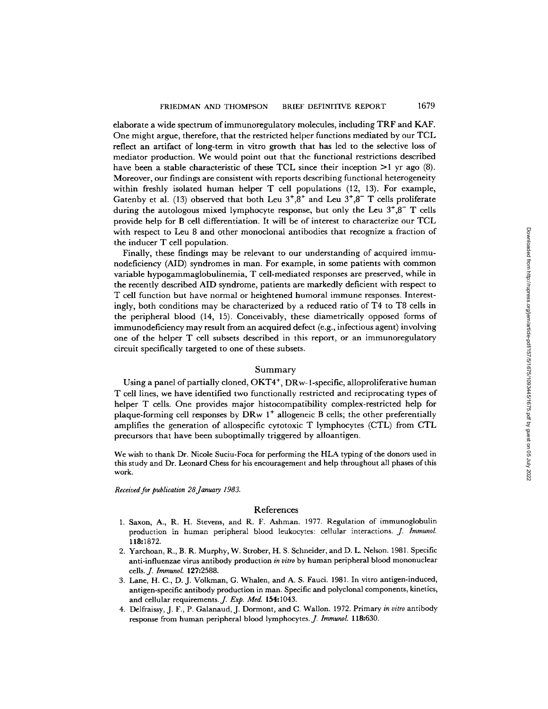elaborate a wide spectrum of immunoregulatory molecules, including TRF and KAF. One might argue, therefore, that the restricted helper functions mediated by our TCL reflect an artifact of long-term in vitro growth that has led to the selective loss of mediator production. We would point out that the functional restrictions described have been a stable characteristic of these TCL since their inception  $>1$  yr ago (8). Moreover, our findings are consistent with reports describing functional heterogeneity within freshly isolated human helper  $T$  cell populations  $(12, 13)$ . For example, Gatenby et al. (13) observed that both Leu  $3^+,3^+$  and Leu  $3^+,3^-$  T cells proliferate during the autologous mixed lymphocyte response, but only the Leu  $3^{+}$ , $8^{-}$  T cells provide help for B cell differentiation. It will be of interest to characterize our TCL with respect to Leu 8 and other monoclonal antibodies that recognize a fraction of the inducer T cell population.

Finally, these findings may be relevant to our understanding of acquired immunodeficiency (AID) syndromes in man. For example, in some patients with common variable hypogammaglobulinemia, T cell-mediated responses are preserved, while in the recently described AID syndrome, patients are markedly deficient with respect to T cell function but have normal or heightened humoral immune responses. Interestingly, both conditions may be characterized by a reduced ratio of T4 to T8 cells in the peripheral blood (14, 15). Conceivably, these diametrically opposed forms of immunodeficiency may result from an acquired defect (e.g., infectious agent) involving one of the helper T cell subsets described in this report, or an immunoregulatory circuit specifically targeted to one of these subsets.

#### Summary

Using a panel of partially cloned, OKT4 ÷, DRw-1-specific, alloproliferative human T cell lines, we have identified two functionally restricted and reciprocating types of helper T cells. One provides major histocompatibility complex-restricted help for plaque-forming cell responses by DRw  $1^+$  allogeneic B cells; the other preferentially amplifies the generation of allospecific cytotoxic T lymphocytes (CTL) from CTL precursors that have been suboptimally triggered by alloantigen.

We wish to thank Dr. Nicole Suciu-Foca for performing the HLA typing of the donors used in this study and Dr. Leonard Chess for his encouragement and help throughout all phases of this work.

*Received for publication 28January 1983.* 

#### References

- 1. Saxon, A., R. H. Stevens, and R. F. Ashman. 1977. Regulation of immunoglobulin production in human peripheral blood leukocytes: cellular interactions. *J. ImmunoL*  118:1872.
- 9. Yarchoan, R., B. R. Murphy, W. Strober, H. S. Schneider, and D. L. Nelson. 1981. Specific anti-influenzae virus antibody production *in vitro* by human peripheral blood mononuclear cells.J. *Immunol.* 127:2588.
- 3. Lane, H. C., D. J. Volkman, G. Whalen, and A. S- Fauci. 1981. In vitro antigen-induced, antigen-specific antibody production in man. Specific and polyclonal components, kinetics, and cellular requirements.J. *Exp. Med.* 154:1043.
- 4. Delfraissy, J. F., P. Galanaud, J. Dormont, and C:. Wallon. 1972. Primary *in vitro* antibody response from human peripheral blood lymphocytes. *J. Immunol.* 118:630.